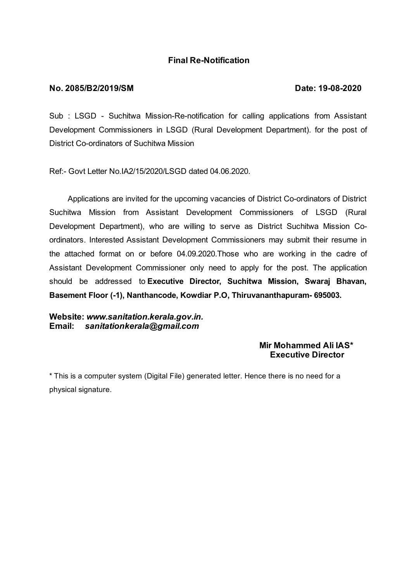# **Final Re-Notification**

#### **No. 2085/B2/2019/SM Date: 19-08-2020**

Sub : LSGD - Suchitwa Mission-Re-notification for calling applications from Assistant Development Commissioners in LSGD (Rural Development Department). for the post of District Co-ordinators of Suchitwa Mission

Ref:- Govt Letter No.IA2/15/2020/LSGD dated 04.06.2020.

Applications are invited for the upcoming vacancies of District Co-ordinators of District Suchitwa Mission from Assistant Development Commissioners of LSGD (Rural Development Department), who are willing to serve as District Suchitwa Mission Coordinators. Interested Assistant Development Commissioners may submit their resume in the attached format on or before 04.09.2020.Those who are working in the cadre of Assistant Development Commissioner only need to apply for the post. The application should be addressed to **Executive Director, Suchitwa Mission, Swaraj Bhavan, Basement Floor (-1), Nanthancode, Kowdiar P.O, Thiruvananthapuram- 695003.**

**Website:** *www.sanitation.kerala.gov.in.* **Email:** *sanitationkerala@gmail.com*

## **Mir Mohammed Ali IAS\* Executive Director**

\* This is a computer system (Digital File) generated letter. Hence there is no need for a physical signature.